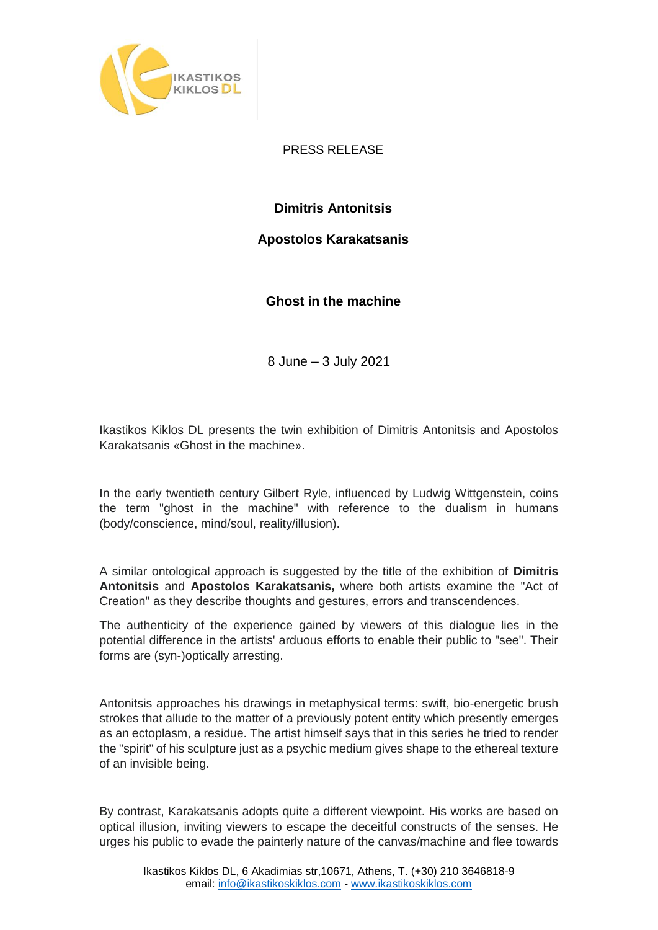

PRESS RELEASE

## **Dimitris Antonitsis**

## **Apostolos Karakatsanis**

**Ghost in the machine**

8 June – 3 July 2021

Ikastikos Kiklos DL presents the twin exhibition of Dimitris Antonitsis and Apostolos Karakatsanis «Ghost in the machine».

In the early twentieth century Gilbert Ryle, influenced by Ludwig Wittgenstein, coins the term "ghost in the machine" with reference to the dualism in humans (body/conscience, mind/soul, reality/illusion).

A similar ontological approach is suggested by the title of the exhibition of **Dimitris Antonitsis** and **Apostolos Karakatsanis,** where both artists examine the "Act of Creation" as they describe thoughts and gestures, errors and transcendences.

The authenticity of the experience gained by viewers of this dialogue lies in the potential difference in the artists' arduous efforts to enable their public to "see". Their forms are (syn-)optically arresting.

Antonitsis approaches his drawings in metaphysical terms: swift, bio-energetic brush strokes that allude to the matter of a previously potent entity which presently emerges as an ectoplasm, a residue. The artist himself says that in this series he tried to render the "spirit" of his sculpture just as a psychic medium gives shape to the ethereal texture of an invisible being.

By contrast, Karakatsanis adopts quite a different viewpoint. His works are based on optical illusion, inviting viewers to escape the deceitful constructs of the senses. He urges his public to evade the painterly nature of the canvas/machine and flee towards